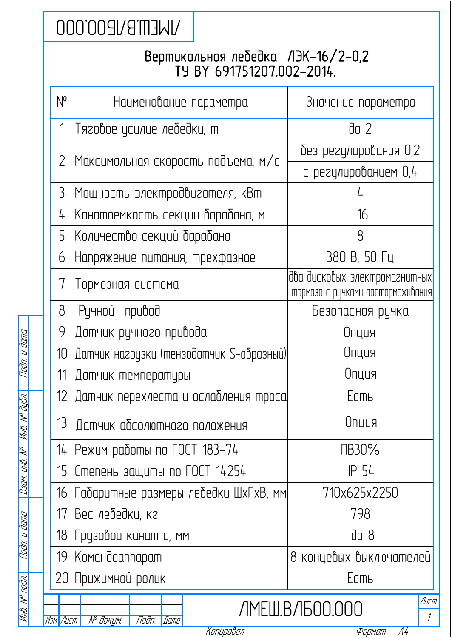## **UNEMENG DOO**

## Вертикальная лебедка ЛЭК-16/2-0,2 ТУ BY 691751207.002-2014.

|                     |  | $N^{\mathsf{o}}$ | Наименование параметра                   | Значение параметра                                                 |
|---------------------|--|------------------|------------------------------------------|--------------------------------------------------------------------|
|                     |  | 1                | Тяговое усилие лебедки, т                | do 2                                                               |
|                     |  | $\overline{2}$   | Максимальная скорость подъема, м/с       | без регулирования 0,2                                              |
|                     |  |                  |                                          | с регулированием 0,4                                               |
|                     |  | $\mathcal{E}$    | Мощность электродвигателя, кВт           |                                                                    |
|                     |  | 4                | Канатоемкость секции барабана, м         | 16                                                                 |
|                     |  | 5                | Количество секций барабана               | 8                                                                  |
|                     |  | 6                | Напряжение питания, трехфазное           | 380 В, 50 Гц                                                       |
|                     |  | 7                | Тормозная система                        | два дисковых электромагнитных<br>пормоза с ручками растормаживания |
|                     |  | 8                | Ручной привод                            | Безопасная ручка                                                   |
|                     |  | 9                | Датчик ручного привода                   | Опция                                                              |
| Nadn. u dama        |  | 10 <sup>°</sup>  | Датчик нагрузки (тензодатчик S-образный) | Опция                                                              |
|                     |  | 11               | Датчик температуры                       | Опция                                                              |
| № дубл.             |  | 12 <sup>1</sup>  | Датчик перехлеста и ослабления троса     | Есть                                                               |
|                     |  | 13 <sup>°</sup>  | Датчик абсолютного положения             | Опция                                                              |
|                     |  | 14               | Режим работы по ГОСТ 183–74              | ПВ30%                                                              |
| Взам. инв. №   Инв. |  | 15               | Степень защиты по ГОСТ 14254             | IP 54                                                              |
|                     |  | 16               | Габаритные размеры лебедки ШхГхВ, мм     | 710x625x2250                                                       |
|                     |  | 17               | Вес лебедки, кг                          | 798                                                                |
| Noðn. u ðama        |  | 18               | Грузовой канат d, мм                     | $\overline{d}$ o 8                                                 |
|                     |  | 19               | Командоаппарат                           | 8 концевых выключателей                                            |
|                     |  | 20.              | Прижимной ролик                          | Есть                                                               |
| Инв. № подл.        |  | Изм. Лист        | <b>Nº докум.</b><br>Подп.<br><b>Lama</b> | Лист<br>ЛМЕШ.ВЛБОО.ООО<br>$\mathcal{I}$                            |
|                     |  |                  | Копировал                                | Формат<br>А4                                                       |

дата дубл. Подп. и Инв. № Взам. инв. № Взам. инв. № дата подл. Подп. и